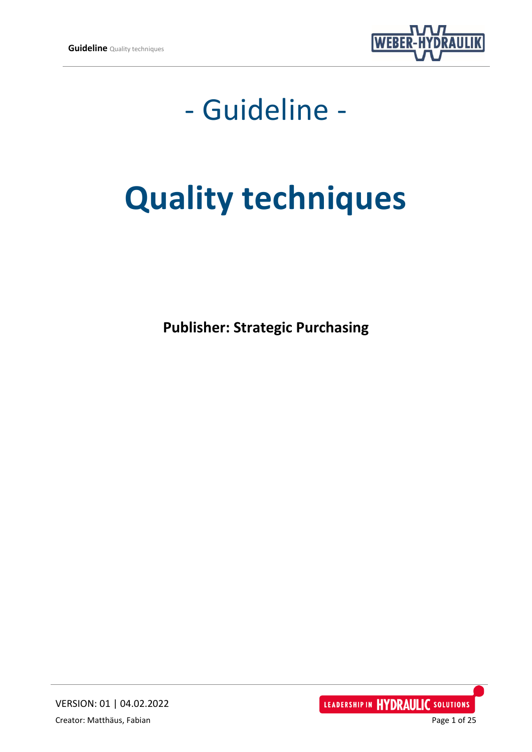

## - Guideline -

# **Quality techniques**

**Publisher: Strategic Purchasing**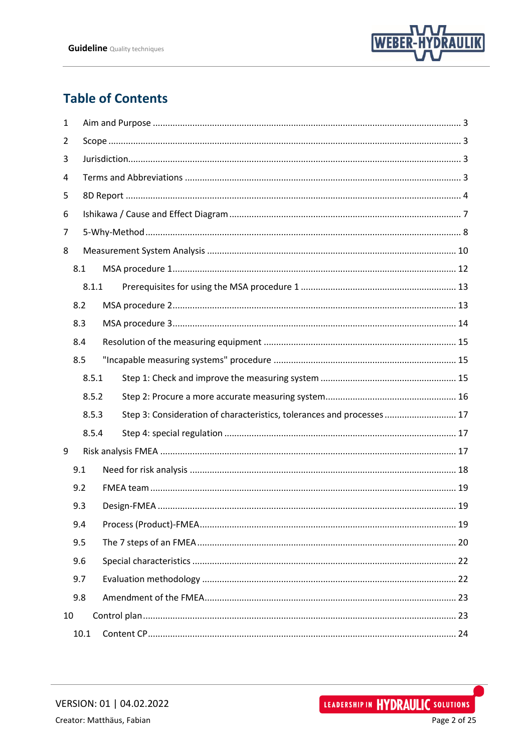

## **Table of Contents**

| 1   |     |       |  |                                                                        |  |
|-----|-----|-------|--|------------------------------------------------------------------------|--|
| 2   |     |       |  |                                                                        |  |
| 3   |     |       |  |                                                                        |  |
| 4   |     |       |  |                                                                        |  |
| 5   |     |       |  |                                                                        |  |
| 6   |     |       |  |                                                                        |  |
| 7   |     |       |  |                                                                        |  |
| 8   |     |       |  |                                                                        |  |
| 8.1 |     |       |  |                                                                        |  |
|     |     | 8.1.1 |  |                                                                        |  |
|     | 8.2 |       |  |                                                                        |  |
|     | 8.3 |       |  |                                                                        |  |
|     | 8.4 |       |  |                                                                        |  |
|     | 8.5 |       |  |                                                                        |  |
|     |     | 8.5.1 |  |                                                                        |  |
|     |     | 8.5.2 |  |                                                                        |  |
|     |     | 8.5.3 |  | Step 3: Consideration of characteristics, tolerances and processes  17 |  |
|     |     | 8.5.4 |  |                                                                        |  |
| 9   |     |       |  |                                                                        |  |
|     |     | 9.1   |  |                                                                        |  |
|     | 9.2 |       |  |                                                                        |  |
| 9.3 |     |       |  |                                                                        |  |
|     |     | 9.4   |  |                                                                        |  |
|     |     | 9.5   |  |                                                                        |  |
|     |     | 9.6   |  |                                                                        |  |
|     | 9.7 |       |  |                                                                        |  |
|     | 9.8 |       |  |                                                                        |  |
| 10  |     |       |  |                                                                        |  |
|     |     | 10.1  |  |                                                                        |  |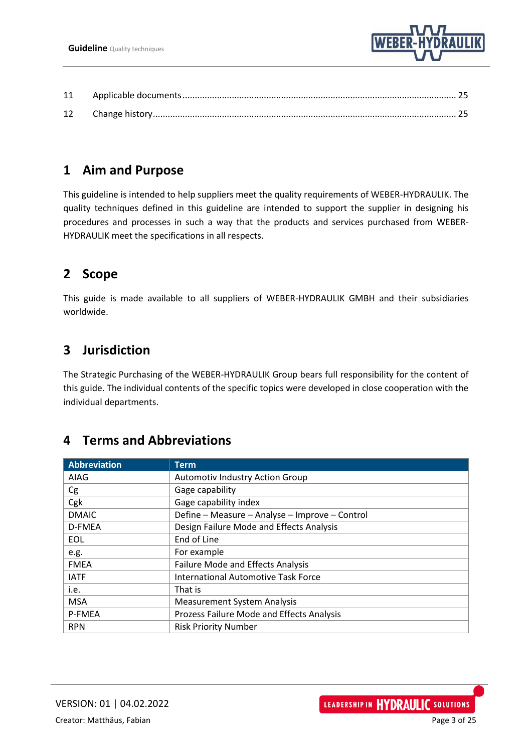

## <span id="page-2-0"></span>**1 Aim and Purpose**

This guideline is intended to help suppliers meet the quality requirements of WEBER-HYDRAULIK. The quality techniques defined in this guideline are intended to support the supplier in designing his procedures and processes in such a way that the products and services purchased from WEBER-HYDRAULIK meet the specifications in all respects.

## <span id="page-2-1"></span>**2 Scope**

This guide is made available to all suppliers of WEBER-HYDRAULIK GMBH and their subsidiaries worldwide.

## <span id="page-2-2"></span>**3 Jurisdiction**

The Strategic Purchasing of the WEBER-HYDRAULIK Group bears full responsibility for the content of this guide. The individual contents of the specific topics were developed in close cooperation with the individual departments.

## <span id="page-2-3"></span>**4 Terms and Abbreviations**

| Abbreviation | <b>Term</b>                                      |
|--------------|--------------------------------------------------|
| AIAG         | <b>Automotiv Industry Action Group</b>           |
| Cg           | Gage capability                                  |
| Cgk          | Gage capability index                            |
| <b>DMAIC</b> | Define - Measure - Analyse - Improve - Control   |
| D-FMEA       | Design Failure Mode and Effects Analysis         |
| <b>EOL</b>   | End of Line                                      |
| e.g.         | For example                                      |
| <b>FMEA</b>  | <b>Failure Mode and Effects Analysis</b>         |
| <b>IATF</b>  | <b>International Automotive Task Force</b>       |
| i.e.         | That is                                          |
| <b>MSA</b>   | <b>Measurement System Analysis</b>               |
| P-FMEA       | <b>Prozess Failure Mode and Effects Analysis</b> |
| <b>RPN</b>   | <b>Risk Priority Number</b>                      |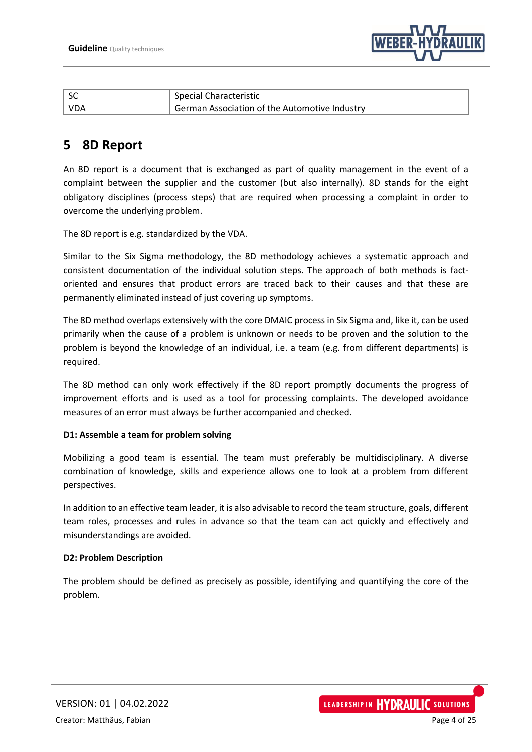

|            | Special Characteristic                        |
|------------|-----------------------------------------------|
| <b>VDA</b> | German Association of the Automotive Industry |

## <span id="page-3-0"></span>**5 8D Report**

An 8D report is a document that is exchanged as part of quality management in the event of a complaint between the supplier and the customer (but also internally). 8D stands for the eight obligatory disciplines (process steps) that are required when processing a complaint in order to overcome the underlying problem.

The 8D report is e.g. standardized by the VDA.

Similar to the Six Sigma methodology, the 8D methodology achieves a systematic approach and consistent documentation of the individual solution steps. The approach of both methods is factoriented and ensures that product errors are traced back to their causes and that these are permanently eliminated instead of just covering up symptoms.

The 8D method overlaps extensively with the core DMAIC process in Six Sigma and, like it, can be used primarily when the cause of a problem is unknown or needs to be proven and the solution to the problem is beyond the knowledge of an individual, i.e. a team (e.g. from different departments) is required.

The 8D method can only work effectively if the 8D report promptly documents the progress of improvement efforts and is used as a tool for processing complaints. The developed avoidance measures of an error must always be further accompanied and checked.

#### **D1: Assemble a team for problem solving**

Mobilizing a good team is essential. The team must preferably be multidisciplinary. A diverse combination of knowledge, skills and experience allows one to look at a problem from different perspectives.

In addition to an effective team leader, it is also advisable to record the team structure, goals, different team roles, processes and rules in advance so that the team can act quickly and effectively and misunderstandings are avoided.

#### **D2: Problem Description**

The problem should be defined as precisely as possible, identifying and quantifying the core of the problem.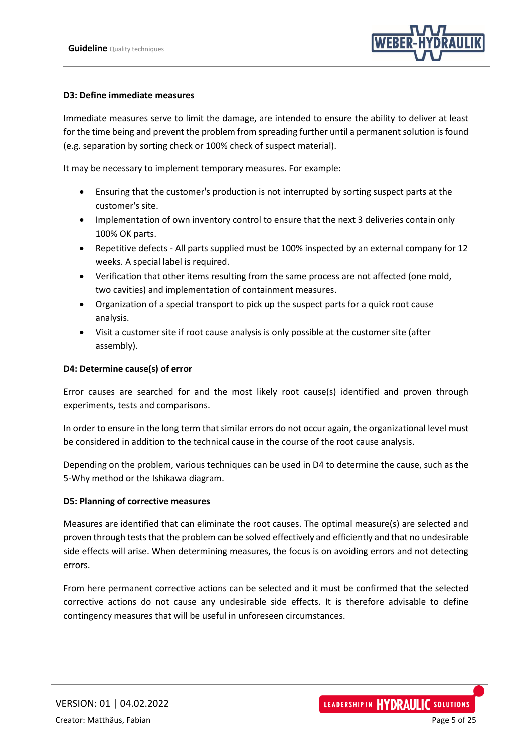

#### **D3: Define immediate measures**

Immediate measures serve to limit the damage, are intended to ensure the ability to deliver at least for the time being and prevent the problem from spreading further until a permanent solution is found (e.g. separation by sorting check or 100% check of suspect material).

It may be necessary to implement temporary measures. For example:

- Ensuring that the customer's production is not interrupted by sorting suspect parts at the customer's site.
- Implementation of own inventory control to ensure that the next 3 deliveries contain only 100% OK parts.
- Repetitive defects All parts supplied must be 100% inspected by an external company for 12 weeks. A special label is required.
- Verification that other items resulting from the same process are not affected (one mold, two cavities) and implementation of containment measures.
- Organization of a special transport to pick up the suspect parts for a quick root cause analysis.
- Visit a customer site if root cause analysis is only possible at the customer site (after assembly).

#### **D4: Determine cause(s) of error**

Error causes are searched for and the most likely root cause(s) identified and proven through experiments, tests and comparisons.

In order to ensure in the long term that similar errors do not occur again, the organizational level must be considered in addition to the technical cause in the course of the root cause analysis.

Depending on the problem, various techniques can be used in D4 to determine the cause, such as the 5-Why method or the Ishikawa diagram.

#### **D5: Planning of corrective measures**

Measures are identified that can eliminate the root causes. The optimal measure(s) are selected and proven through tests that the problem can be solved effectively and efficiently and that no undesirable side effects will arise. When determining measures, the focus is on avoiding errors and not detecting errors.

From here permanent corrective actions can be selected and it must be confirmed that the selected corrective actions do not cause any undesirable side effects. It is therefore advisable to define contingency measures that will be useful in unforeseen circumstances.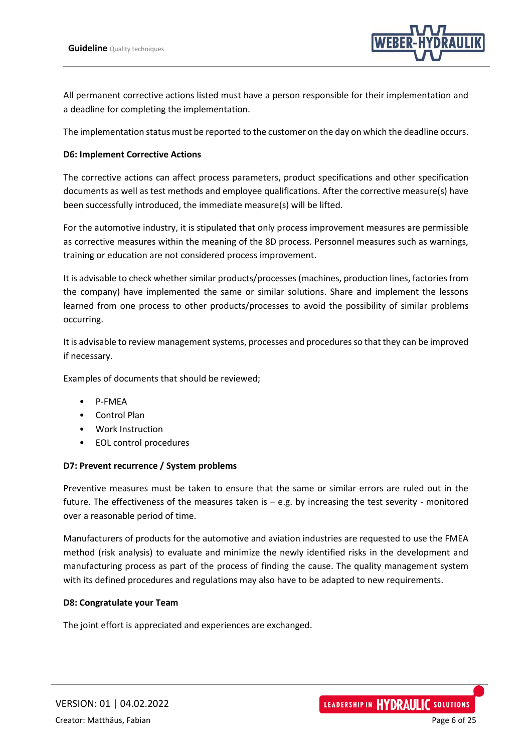

All permanent corrective actions listed must have a person responsible for their implementation and a deadline for completing the implementation.

The implementation status must be reported to the customer on the day on which the deadline occurs.

#### **D6: Implement Corrective Actions**

The corrective actions can affect process parameters, product specifications and other specification documents as well as test methods and employee qualifications. After the corrective measure(s) have been successfully introduced, the immediate measure(s) will be lifted.

For the automotive industry, it is stipulated that only process improvement measures are permissible as corrective measures within the meaning of the 8D process. Personnel measures such as warnings, training or education are not considered process improvement.

It is advisable to check whether similar products/processes (machines, production lines, factories from the company) have implemented the same or similar solutions. Share and implement the lessons learned from one process to other products/processes to avoid the possibility of similar problems occurring.

It is advisable to review management systems, processes and procedures so that they can be improved if necessary.

Examples of documents that should be reviewed;

- P-FMEA
- Control Plan
- Work Instruction
- EOL control procedures

#### **D7: Prevent recurrence / System problems**

Preventive measures must be taken to ensure that the same or similar errors are ruled out in the future. The effectiveness of the measures taken is – e.g. by increasing the test severity - monitored over a reasonable period of time.

Manufacturers of products for the automotive and aviation industries are requested to use the FMEA method (risk analysis) to evaluate and minimize the newly identified risks in the development and manufacturing process as part of the process of finding the cause. The quality management system with its defined procedures and regulations may also have to be adapted to new requirements.

#### **D8: Congratulate your Team**

The joint effort is appreciated and experiences are exchanged.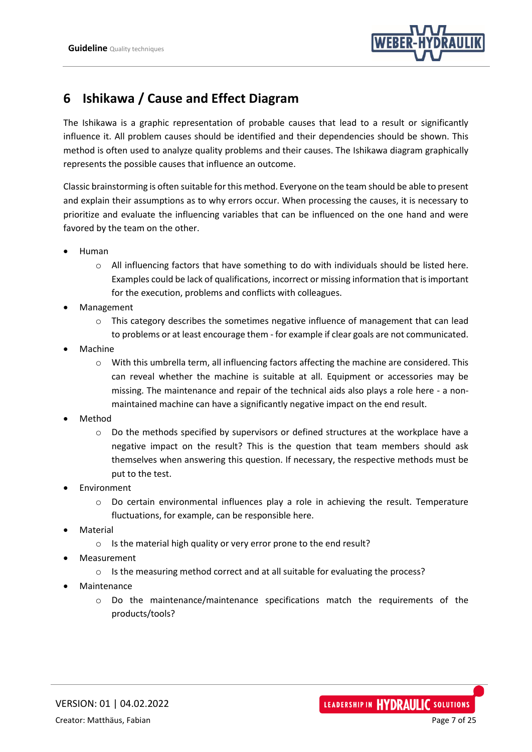

## <span id="page-6-0"></span>**6 Ishikawa / Cause and Effect Diagram**

The Ishikawa is a graphic representation of probable causes that lead to a result or significantly influence it. All problem causes should be identified and their dependencies should be shown. This method is often used to analyze quality problems and their causes. The Ishikawa diagram graphically represents the possible causes that influence an outcome.

Classic brainstorming is often suitable for this method. Everyone on the team should be able to present and explain their assumptions as to why errors occur. When processing the causes, it is necessary to prioritize and evaluate the influencing variables that can be influenced on the one hand and were favored by the team on the other.

- Human
	- o All influencing factors that have something to do with individuals should be listed here. Examples could be lack of qualifications, incorrect or missing information that is important for the execution, problems and conflicts with colleagues.
- Management
	- o This category describes the sometimes negative influence of management that can lead to problems or at least encourage them - for example if clear goals are not communicated.
- **Machine** 
	- o With this umbrella term, all influencing factors affecting the machine are considered. This can reveal whether the machine is suitable at all. Equipment or accessories may be missing. The maintenance and repair of the technical aids also plays a role here - a nonmaintained machine can have a significantly negative impact on the end result.
- Method
	- $\circ$  Do the methods specified by supervisors or defined structures at the workplace have a negative impact on the result? This is the question that team members should ask themselves when answering this question. If necessary, the respective methods must be put to the test.
- **Environment** 
	- $\circ$  Do certain environmental influences play a role in achieving the result. Temperature fluctuations, for example, can be responsible here.
- **Material** 
	- o Is the material high quality or very error prone to the end result?
- **Measurement** 
	- o Is the measuring method correct and at all suitable for evaluating the process?
- **Maintenance** 
	- o Do the maintenance/maintenance specifications match the requirements of the products/tools?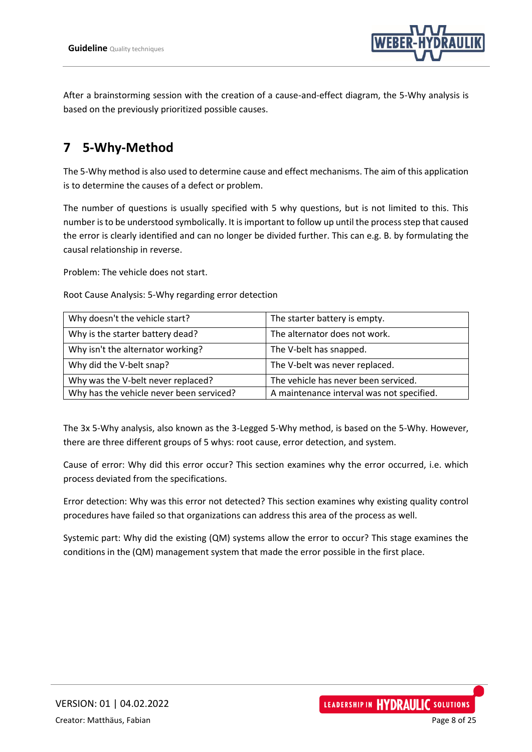

After a brainstorming session with the creation of a cause-and-effect diagram, the 5-Why analysis is based on the previously prioritized possible causes.

## <span id="page-7-0"></span>**7 5-Why-Method**

The 5-Why method is also used to determine cause and effect mechanisms. The aim of this application is to determine the causes of a defect or problem.

The number of questions is usually specified with 5 why questions, but is not limited to this. This number is to be understood symbolically. It is important to follow up until the process step that caused the error is clearly identified and can no longer be divided further. This can e.g. B. by formulating the causal relationship in reverse.

Problem: The vehicle does not start.

Root Cause Analysis: 5-Why regarding error detection

| Why doesn't the vehicle start?           | The starter battery is empty.             |
|------------------------------------------|-------------------------------------------|
| Why is the starter battery dead?         | The alternator does not work.             |
| Why isn't the alternator working?        | The V-belt has snapped.                   |
| Why did the V-belt snap?                 | The V-belt was never replaced.            |
| Why was the V-belt never replaced?       | The vehicle has never been serviced.      |
| Why has the vehicle never been serviced? | A maintenance interval was not specified. |

The 3x 5-Why analysis, also known as the 3-Legged 5-Why method, is based on the 5-Why. However, there are three different groups of 5 whys: root cause, error detection, and system.

Cause of error: Why did this error occur? This section examines why the error occurred, i.e. which process deviated from the specifications.

Error detection: Why was this error not detected? This section examines why existing quality control procedures have failed so that organizations can address this area of the process as well.

Systemic part: Why did the existing (QM) systems allow the error to occur? This stage examines the conditions in the (QM) management system that made the error possible in the first place.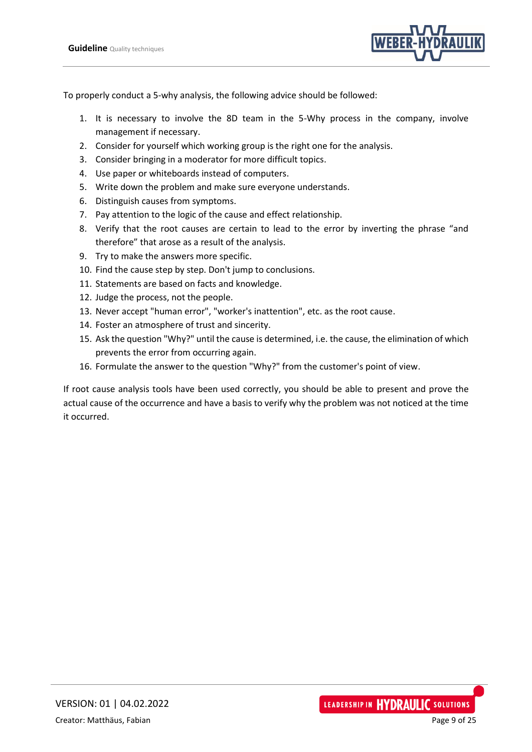

To properly conduct a 5-why analysis, the following advice should be followed:

- 1. It is necessary to involve the 8D team in the 5-Why process in the company, involve management if necessary.
- 2. Consider for yourself which working group is the right one for the analysis.
- 3. Consider bringing in a moderator for more difficult topics.
- 4. Use paper or whiteboards instead of computers.
- 5. Write down the problem and make sure everyone understands.
- 6. Distinguish causes from symptoms.
- 7. Pay attention to the logic of the cause and effect relationship.
- 8. Verify that the root causes are certain to lead to the error by inverting the phrase "and therefore" that arose as a result of the analysis.
- 9. Try to make the answers more specific.
- 10. Find the cause step by step. Don't jump to conclusions.
- 11. Statements are based on facts and knowledge.
- 12. Judge the process, not the people.
- 13. Never accept "human error", "worker's inattention", etc. as the root cause.
- 14. Foster an atmosphere of trust and sincerity.
- 15. Ask the question "Why?" until the cause is determined, i.e. the cause, the elimination of which prevents the error from occurring again.
- 16. Formulate the answer to the question "Why?" from the customer's point of view.

If root cause analysis tools have been used correctly, you should be able to present and prove the actual cause of the occurrence and have a basis to verify why the problem was not noticed at the time it occurred.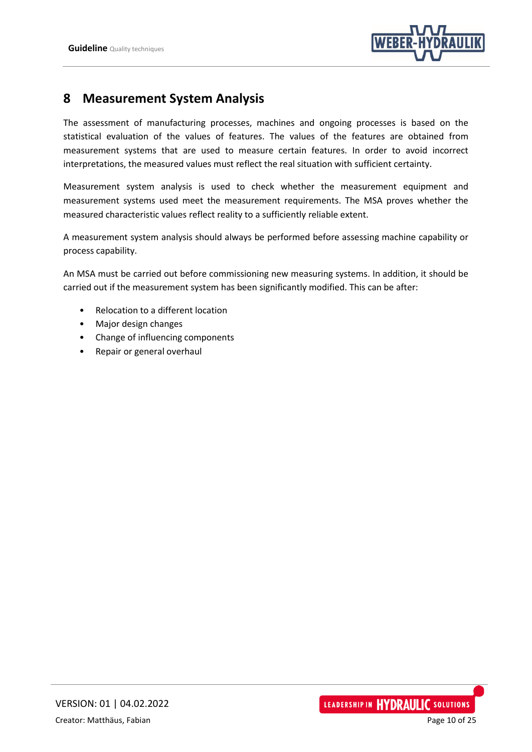

## <span id="page-9-0"></span>**8 Measurement System Analysis**

The assessment of manufacturing processes, machines and ongoing processes is based on the statistical evaluation of the values of features. The values of the features are obtained from measurement systems that are used to measure certain features. In order to avoid incorrect interpretations, the measured values must reflect the real situation with sufficient certainty.

Measurement system analysis is used to check whether the measurement equipment and measurement systems used meet the measurement requirements. The MSA proves whether the measured characteristic values reflect reality to a sufficiently reliable extent.

A measurement system analysis should always be performed before assessing machine capability or process capability.

An MSA must be carried out before commissioning new measuring systems. In addition, it should be carried out if the measurement system has been significantly modified. This can be after:

- Relocation to a different location
- Major design changes
- Change of influencing components
- Repair or general overhaul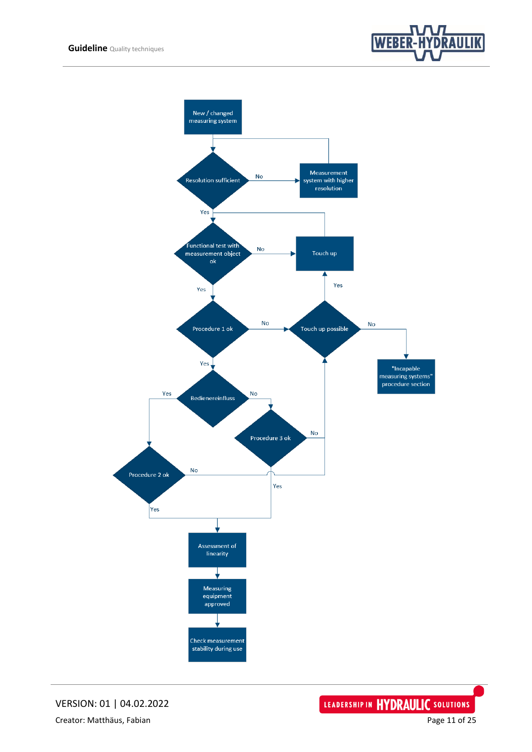



VERSION: 01 | 04.02.2022 Creator: Matthäus, Fabian **Page 11 of 25** and Page 11 of 25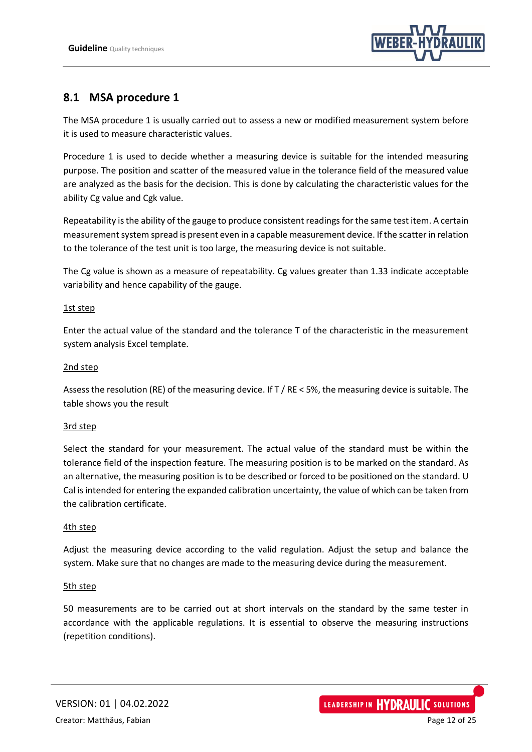

## <span id="page-11-0"></span>**8.1 MSA procedure 1**

The MSA procedure 1 is usually carried out to assess a new or modified measurement system before it is used to measure characteristic values.

Procedure 1 is used to decide whether a measuring device is suitable for the intended measuring purpose. The position and scatter of the measured value in the tolerance field of the measured value are analyzed as the basis for the decision. This is done by calculating the characteristic values for the ability Cg value and Cgk value.

Repeatability is the ability of the gauge to produce consistent readings for the same test item. A certain measurement system spread is present even in a capable measurement device. If the scatter in relation to the tolerance of the test unit is too large, the measuring device is not suitable.

The Cg value is shown as a measure of repeatability. Cg values greater than 1.33 indicate acceptable variability and hence capability of the gauge.

#### 1st step

Enter the actual value of the standard and the tolerance T of the characteristic in the measurement system analysis Excel template.

#### 2nd step

Assess the resolution (RE) of the measuring device. If T / RE < 5%, the measuring device is suitable. The table shows you the result

#### 3rd step

Select the standard for your measurement. The actual value of the standard must be within the tolerance field of the inspection feature. The measuring position is to be marked on the standard. As an alternative, the measuring position is to be described or forced to be positioned on the standard. U Cal is intended for entering the expanded calibration uncertainty, the value of which can be taken from the calibration certificate.

#### 4th step

Adjust the measuring device according to the valid regulation. Adjust the setup and balance the system. Make sure that no changes are made to the measuring device during the measurement.

#### 5th step

50 measurements are to be carried out at short intervals on the standard by the same tester in accordance with the applicable regulations. It is essential to observe the measuring instructions (repetition conditions).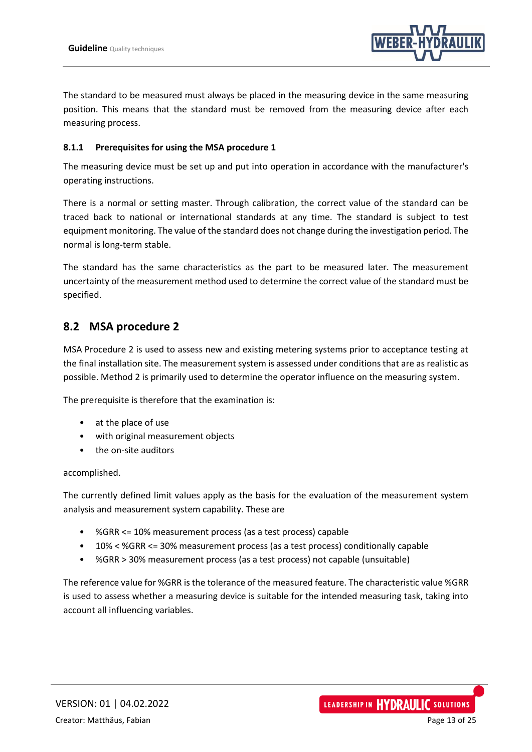

The standard to be measured must always be placed in the measuring device in the same measuring position. This means that the standard must be removed from the measuring device after each measuring process.

#### <span id="page-12-0"></span>**8.1.1 Prerequisites for using the MSA procedure 1**

The measuring device must be set up and put into operation in accordance with the manufacturer's operating instructions.

There is a normal or setting master. Through calibration, the correct value of the standard can be traced back to national or international standards at any time. The standard is subject to test equipment monitoring. The value of the standard does not change during the investigation period. The normal is long-term stable.

The standard has the same characteristics as the part to be measured later. The measurement uncertainty of the measurement method used to determine the correct value of the standard must be specified.

## <span id="page-12-1"></span>**8.2 MSA procedure 2**

MSA Procedure 2 is used to assess new and existing metering systems prior to acceptance testing at the final installation site. The measurement system is assessed under conditions that are as realistic as possible. Method 2 is primarily used to determine the operator influence on the measuring system.

The prerequisite is therefore that the examination is:

- at the place of use
- with original measurement objects
- the on-site auditors

#### accomplished.

The currently defined limit values apply as the basis for the evaluation of the measurement system analysis and measurement system capability. These are

- %GRR <= 10% measurement process (as a test process) capable
- 10% < %GRR <= 30% measurement process (as a test process) conditionally capable
- %GRR > 30% measurement process (as a test process) not capable (unsuitable)

The reference value for %GRR is the tolerance of the measured feature. The characteristic value %GRR is used to assess whether a measuring device is suitable for the intended measuring task, taking into account all influencing variables.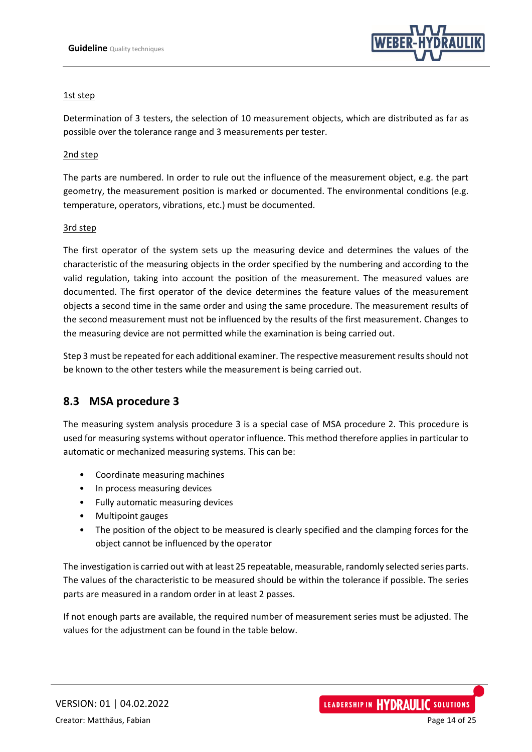

#### 1st step

Determination of 3 testers, the selection of 10 measurement objects, which are distributed as far as possible over the tolerance range and 3 measurements per tester.

#### 2nd step

The parts are numbered. In order to rule out the influence of the measurement object, e.g. the part geometry, the measurement position is marked or documented. The environmental conditions (e.g. temperature, operators, vibrations, etc.) must be documented.

#### 3rd step

The first operator of the system sets up the measuring device and determines the values of the characteristic of the measuring objects in the order specified by the numbering and according to the valid regulation, taking into account the position of the measurement. The measured values are documented. The first operator of the device determines the feature values of the measurement objects a second time in the same order and using the same procedure. The measurement results of the second measurement must not be influenced by the results of the first measurement. Changes to the measuring device are not permitted while the examination is being carried out.

Step 3 must be repeated for each additional examiner. The respective measurement results should not be known to the other testers while the measurement is being carried out.

#### <span id="page-13-0"></span>**8.3 MSA procedure 3**

The measuring system analysis procedure 3 is a special case of MSA procedure 2. This procedure is used for measuring systems without operator influence. This method therefore applies in particular to automatic or mechanized measuring systems. This can be:

- Coordinate measuring machines
- In process measuring devices
- Fully automatic measuring devices
- Multipoint gauges
- The position of the object to be measured is clearly specified and the clamping forces for the object cannot be influenced by the operator

The investigation is carried out with at least 25 repeatable, measurable, randomly selected series parts. The values of the characteristic to be measured should be within the tolerance if possible. The series parts are measured in a random order in at least 2 passes.

If not enough parts are available, the required number of measurement series must be adjusted. The values for the adjustment can be found in the table below.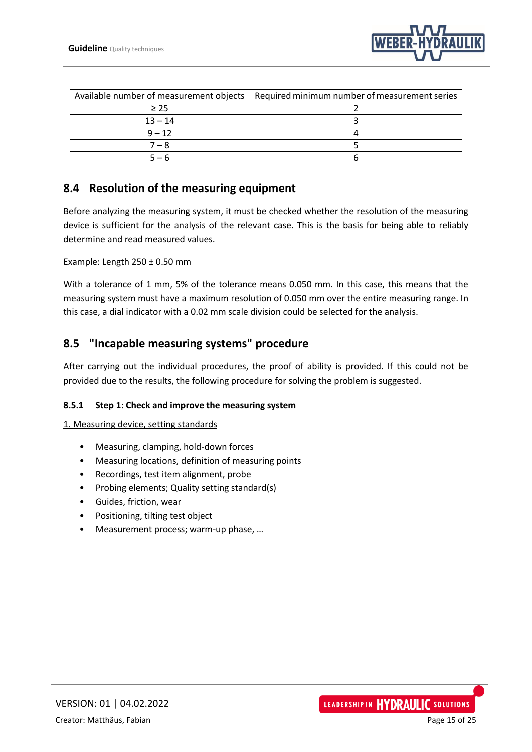

|           | Available number of measurement objects   Required minimum number of measurement series |
|-----------|-----------------------------------------------------------------------------------------|
| $\geq$ 25 |                                                                                         |
| $13 - 14$ |                                                                                         |
| $9 - 12$  |                                                                                         |
| 7 – 8     |                                                                                         |
| $5 - 6$   |                                                                                         |

## <span id="page-14-0"></span>**8.4 Resolution of the measuring equipment**

Before analyzing the measuring system, it must be checked whether the resolution of the measuring device is sufficient for the analysis of the relevant case. This is the basis for being able to reliably determine and read measured values.

Example: Length 250 ± 0.50 mm

With a tolerance of 1 mm, 5% of the tolerance means 0.050 mm. In this case, this means that the measuring system must have a maximum resolution of 0.050 mm over the entire measuring range. In this case, a dial indicator with a 0.02 mm scale division could be selected for the analysis.

## <span id="page-14-1"></span>**8.5 "Incapable measuring systems" procedure**

After carrying out the individual procedures, the proof of ability is provided. If this could not be provided due to the results, the following procedure for solving the problem is suggested.

#### <span id="page-14-2"></span>**8.5.1 Step 1: Check and improve the measuring system**

1. Measuring device, setting standards

- Measuring, clamping, hold-down forces
- Measuring locations, definition of measuring points
- Recordings, test item alignment, probe
- Probing elements; Quality setting standard(s)
- Guides, friction, wear
- Positioning, tilting test object
- Measurement process; warm-up phase, …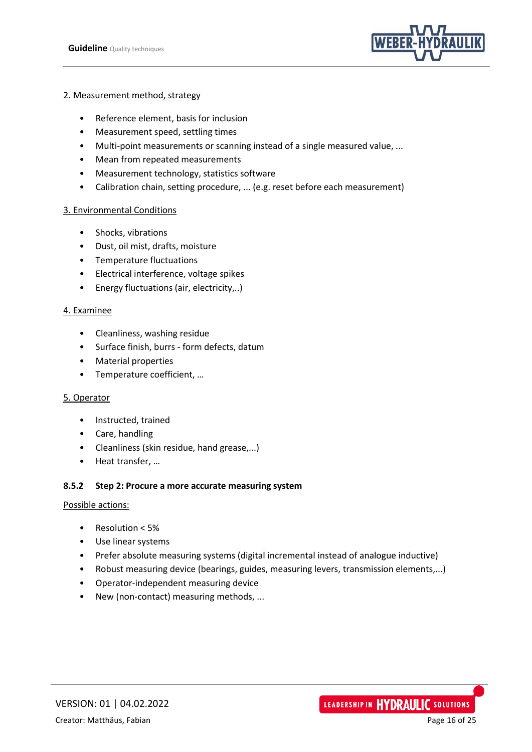

#### 2. Measurement method, strategy

- Reference element, basis for inclusion
- Measurement speed, settling times
- Multi-point measurements or scanning instead of a single measured value, ...
- Mean from repeated measurements
- Measurement technology, statistics software
- Calibration chain, setting procedure, ... (e.g. reset before each measurement)

#### 3. Environmental Conditions

- Shocks, vibrations
- Dust, oil mist, drafts, moisture
- Temperature fluctuations
- Electrical interference, voltage spikes
- Energy fluctuations (air, electricity,..)

#### 4. Examinee

- Cleanliness, washing residue
- Surface finish, burrs form defects, datum
- Material properties
- Temperature coefficient, …

#### 5. Operator

- Instructed, trained
- Care, handling
- Cleanliness (skin residue, hand grease,...)
- Heat transfer, …

#### <span id="page-15-0"></span>**8.5.2 Step 2: Procure a more accurate measuring system**

#### Possible actions:

- Resolution < 5%
- Use linear systems
- Prefer absolute measuring systems (digital incremental instead of analogue inductive)
- Robust measuring device (bearings, guides, measuring levers, transmission elements,...)
- Operator-independent measuring device
- New (non-contact) measuring methods, ...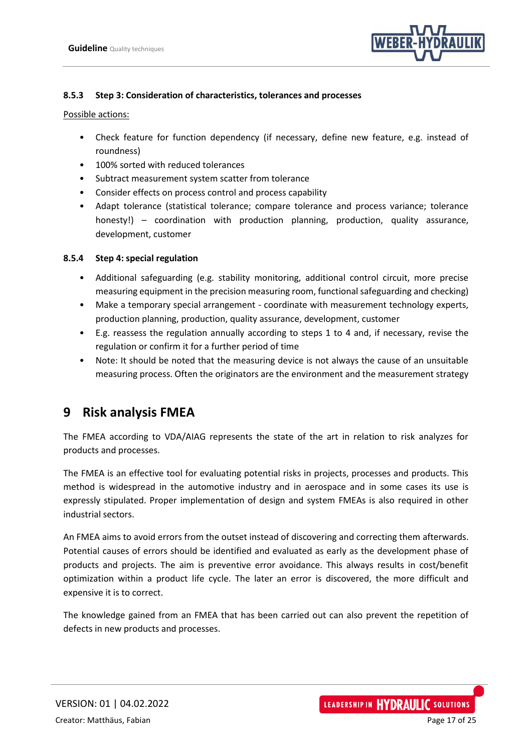

#### <span id="page-16-0"></span>**8.5.3 Step 3: Consideration of characteristics, tolerances and processes**

Possible actions:

- Check feature for function dependency (if necessary, define new feature, e.g. instead of roundness)
- 100% sorted with reduced tolerances
- Subtract measurement system scatter from tolerance
- Consider effects on process control and process capability
- Adapt tolerance (statistical tolerance; compare tolerance and process variance; tolerance honesty!) – coordination with production planning, production, quality assurance, development, customer

#### <span id="page-16-1"></span>**8.5.4 Step 4: special regulation**

- Additional safeguarding (e.g. stability monitoring, additional control circuit, more precise measuring equipment in the precision measuring room, functional safeguarding and checking)
- Make a temporary special arrangement coordinate with measurement technology experts, production planning, production, quality assurance, development, customer
- E.g. reassess the regulation annually according to steps 1 to 4 and, if necessary, revise the regulation or confirm it for a further period of time
- Note: It should be noted that the measuring device is not always the cause of an unsuitable measuring process. Often the originators are the environment and the measurement strategy

## <span id="page-16-2"></span>**9 Risk analysis FMEA**

The FMEA according to VDA/AIAG represents the state of the art in relation to risk analyzes for products and processes.

The FMEA is an effective tool for evaluating potential risks in projects, processes and products. This method is widespread in the automotive industry and in aerospace and in some cases its use is expressly stipulated. Proper implementation of design and system FMEAs is also required in other industrial sectors.

An FMEA aims to avoid errors from the outset instead of discovering and correcting them afterwards. Potential causes of errors should be identified and evaluated as early as the development phase of products and projects. The aim is preventive error avoidance. This always results in cost/benefit optimization within a product life cycle. The later an error is discovered, the more difficult and expensive it is to correct.

The knowledge gained from an FMEA that has been carried out can also prevent the repetition of defects in new products and processes.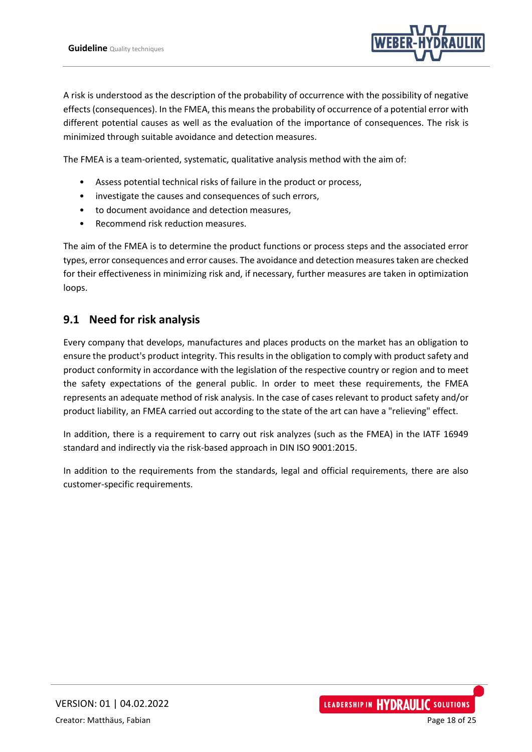

A risk is understood as the description of the probability of occurrence with the possibility of negative effects (consequences). In the FMEA, this means the probability of occurrence of a potential error with different potential causes as well as the evaluation of the importance of consequences. The risk is minimized through suitable avoidance and detection measures.

The FMEA is a team-oriented, systematic, qualitative analysis method with the aim of:

- Assess potential technical risks of failure in the product or process,
- investigate the causes and consequences of such errors,
- to document avoidance and detection measures,
- Recommend risk reduction measures.

The aim of the FMEA is to determine the product functions or process steps and the associated error types, error consequences and error causes. The avoidance and detection measures taken are checked for their effectiveness in minimizing risk and, if necessary, further measures are taken in optimization loops.

#### <span id="page-17-0"></span>**9.1 Need for risk analysis**

Every company that develops, manufactures and places products on the market has an obligation to ensure the product's product integrity. This results in the obligation to comply with product safety and product conformity in accordance with the legislation of the respective country or region and to meet the safety expectations of the general public. In order to meet these requirements, the FMEA represents an adequate method of risk analysis. In the case of cases relevant to product safety and/or product liability, an FMEA carried out according to the state of the art can have a "relieving" effect.

In addition, there is a requirement to carry out risk analyzes (such as the FMEA) in the IATF 16949 standard and indirectly via the risk-based approach in DIN ISO 9001:2015.

In addition to the requirements from the standards, legal and official requirements, there are also customer-specific requirements.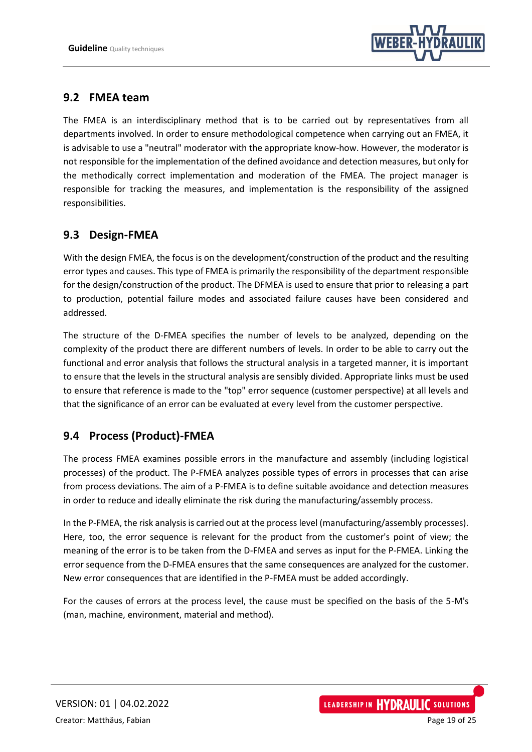

## <span id="page-18-0"></span>**9.2 FMEA team**

The FMEA is an interdisciplinary method that is to be carried out by representatives from all departments involved. In order to ensure methodological competence when carrying out an FMEA, it is advisable to use a "neutral" moderator with the appropriate know-how. However, the moderator is not responsible for the implementation of the defined avoidance and detection measures, but only for the methodically correct implementation and moderation of the FMEA. The project manager is responsible for tracking the measures, and implementation is the responsibility of the assigned responsibilities.

## <span id="page-18-1"></span>**9.3 Design-FMEA**

With the design FMEA, the focus is on the development/construction of the product and the resulting error types and causes. This type of FMEA is primarily the responsibility of the department responsible for the design/construction of the product. The DFMEA is used to ensure that prior to releasing a part to production, potential failure modes and associated failure causes have been considered and addressed.

The structure of the D-FMEA specifies the number of levels to be analyzed, depending on the complexity of the product there are different numbers of levels. In order to be able to carry out the functional and error analysis that follows the structural analysis in a targeted manner, it is important to ensure that the levels in the structural analysis are sensibly divided. Appropriate links must be used to ensure that reference is made to the "top" error sequence (customer perspective) at all levels and that the significance of an error can be evaluated at every level from the customer perspective.

## <span id="page-18-2"></span>**9.4 Process (Product)-FMEA**

The process FMEA examines possible errors in the manufacture and assembly (including logistical processes) of the product. The P-FMEA analyzes possible types of errors in processes that can arise from process deviations. The aim of a P-FMEA is to define suitable avoidance and detection measures in order to reduce and ideally eliminate the risk during the manufacturing/assembly process.

In the P-FMEA, the risk analysis is carried out at the process level (manufacturing/assembly processes). Here, too, the error sequence is relevant for the product from the customer's point of view; the meaning of the error is to be taken from the D-FMEA and serves as input for the P-FMEA. Linking the error sequence from the D-FMEA ensures that the same consequences are analyzed for the customer. New error consequences that are identified in the P-FMEA must be added accordingly.

For the causes of errors at the process level, the cause must be specified on the basis of the 5-M's (man, machine, environment, material and method).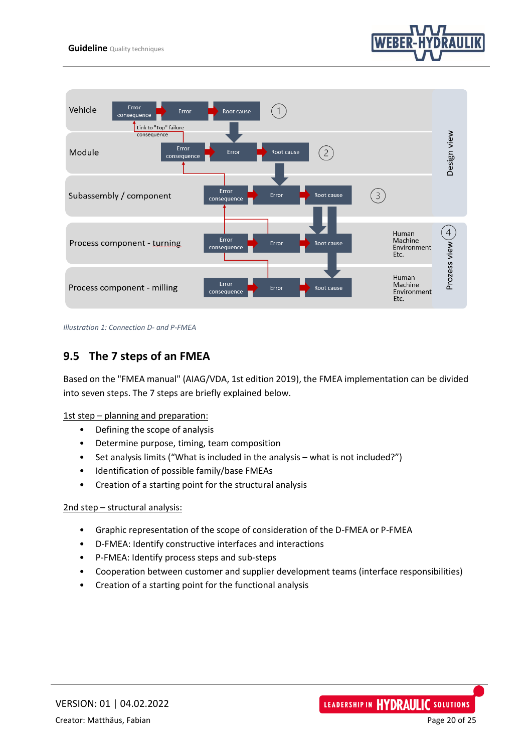



*Illustration 1: Connection D- and P-FMEA*

## <span id="page-19-0"></span>**9.5 The 7 steps of an FMEA**

Based on the "FMEA manual" (AIAG/VDA, 1st edition 2019), the FMEA implementation can be divided into seven steps. The 7 steps are briefly explained below.

1st step - planning and preparation:

- Defining the scope of analysis
- Determine purpose, timing, team composition
- Set analysis limits ("What is included in the analysis what is not included?")
- Identification of possible family/base FMEAs
- Creation of a starting point for the structural analysis

#### 2nd step – structural analysis:

- Graphic representation of the scope of consideration of the D-FMEA or P-FMEA
- D-FMEA: Identify constructive interfaces and interactions
- P-FMEA: Identify process steps and sub-steps
- Cooperation between customer and supplier development teams (interface responsibilities)
- Creation of a starting point for the functional analysis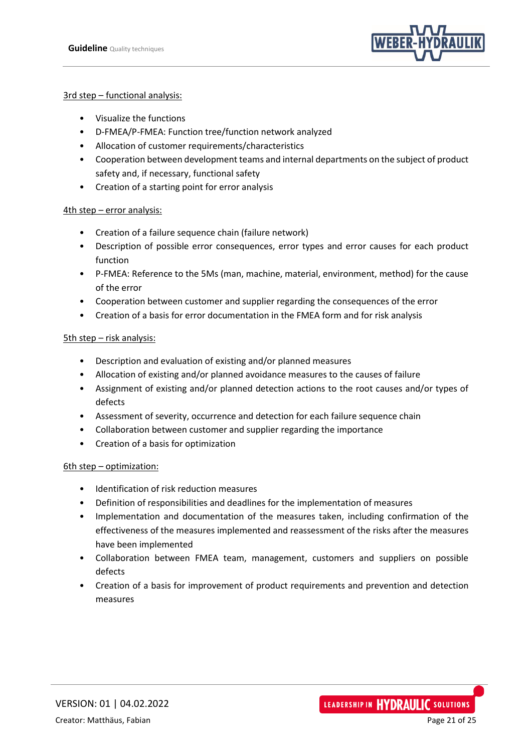

#### 3rd step – functional analysis:

- Visualize the functions
- D-FMEA/P-FMEA: Function tree/function network analyzed
- Allocation of customer requirements/characteristics
- Cooperation between development teams and internal departments on the subject of product safety and, if necessary, functional safety
- Creation of a starting point for error analysis

#### 4th step – error analysis:

- Creation of a failure sequence chain (failure network)
- Description of possible error consequences, error types and error causes for each product function
- P-FMEA: Reference to the 5Ms (man, machine, material, environment, method) for the cause of the error
- Cooperation between customer and supplier regarding the consequences of the error
- Creation of a basis for error documentation in the FMEA form and for risk analysis

#### 5th step – risk analysis:

- Description and evaluation of existing and/or planned measures
- Allocation of existing and/or planned avoidance measures to the causes of failure
- Assignment of existing and/or planned detection actions to the root causes and/or types of defects
- Assessment of severity, occurrence and detection for each failure sequence chain
- Collaboration between customer and supplier regarding the importance
- Creation of a basis for optimization

#### 6th step – optimization:

- Identification of risk reduction measures
- Definition of responsibilities and deadlines for the implementation of measures
- Implementation and documentation of the measures taken, including confirmation of the effectiveness of the measures implemented and reassessment of the risks after the measures have been implemented
- Collaboration between FMEA team, management, customers and suppliers on possible defects
- Creation of a basis for improvement of product requirements and prevention and detection measures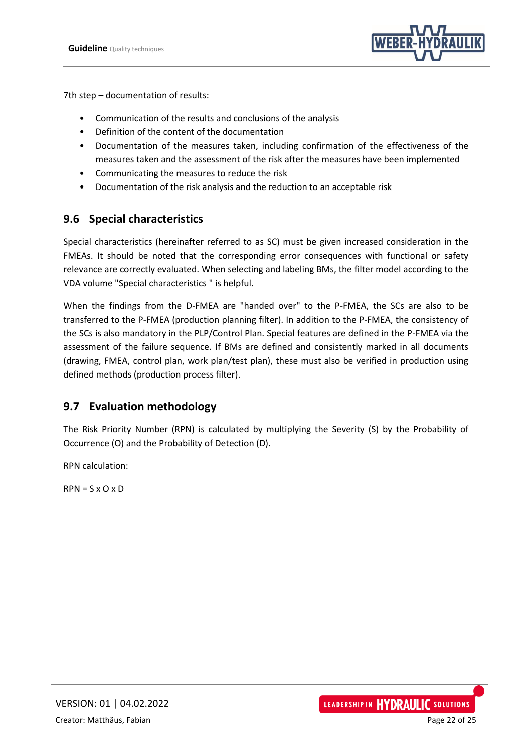

#### 7th step – documentation of results:

- Communication of the results and conclusions of the analysis
- Definition of the content of the documentation
- Documentation of the measures taken, including confirmation of the effectiveness of the measures taken and the assessment of the risk after the measures have been implemented
- Communicating the measures to reduce the risk
- Documentation of the risk analysis and the reduction to an acceptable risk

## <span id="page-21-0"></span>**9.6 Special characteristics**

Special characteristics (hereinafter referred to as SC) must be given increased consideration in the FMEAs. It should be noted that the corresponding error consequences with functional or safety relevance are correctly evaluated. When selecting and labeling BMs, the filter model according to the VDA volume "Special characteristics " is helpful.

When the findings from the D-FMEA are "handed over" to the P-FMEA, the SCs are also to be transferred to the P-FMEA (production planning filter). In addition to the P-FMEA, the consistency of the SCs is also mandatory in the PLP/Control Plan. Special features are defined in the P-FMEA via the assessment of the failure sequence. If BMs are defined and consistently marked in all documents (drawing, FMEA, control plan, work plan/test plan), these must also be verified in production using defined methods (production process filter).

#### <span id="page-21-1"></span>**9.7 Evaluation methodology**

The Risk Priority Number (RPN) is calculated by multiplying the Severity (S) by the Probability of Occurrence (O) and the Probability of Detection (D).

RPN calculation:

 $RPN = S \times O \times D$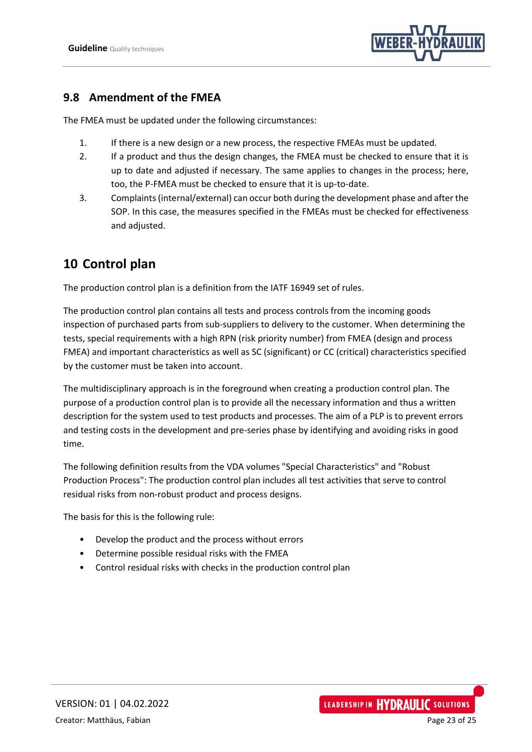

### <span id="page-22-0"></span>**9.8 Amendment of the FMEA**

The FMEA must be updated under the following circumstances:

- 1. If there is a new design or a new process, the respective FMEAs must be updated.
- 2. If a product and thus the design changes, the FMEA must be checked to ensure that it is up to date and adjusted if necessary. The same applies to changes in the process; here, too, the P-FMEA must be checked to ensure that it is up-to-date.
- 3. Complaints (internal/external) can occur both during the development phase and after the SOP. In this case, the measures specified in the FMEAs must be checked for effectiveness and adjusted.

## <span id="page-22-1"></span>**10 Control plan**

The production control plan is a definition from the IATF 16949 set of rules.

The production control plan contains all tests and process controls from the incoming goods inspection of purchased parts from sub-suppliers to delivery to the customer. When determining the tests, special requirements with a high RPN (risk priority number) from FMEA (design and process FMEA) and important characteristics as well as SC (significant) or CC (critical) characteristics specified by the customer must be taken into account.

The multidisciplinary approach is in the foreground when creating a production control plan. The purpose of a production control plan is to provide all the necessary information and thus a written description for the system used to test products and processes. The aim of a PLP is to prevent errors and testing costs in the development and pre-series phase by identifying and avoiding risks in good time.

The following definition results from the VDA volumes "Special Characteristics" and "Robust Production Process": The production control plan includes all test activities that serve to control residual risks from non-robust product and process designs.

The basis for this is the following rule:

- Develop the product and the process without errors
- Determine possible residual risks with the FMEA
- Control residual risks with checks in the production control plan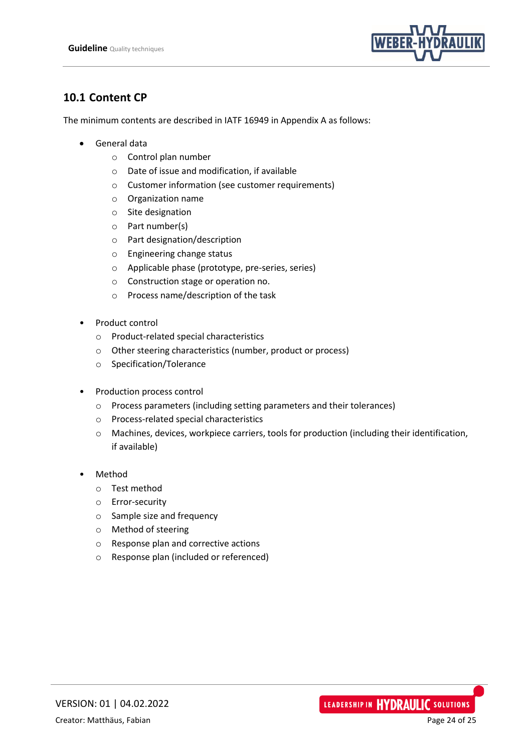

## <span id="page-23-0"></span>**10.1 Content CP**

The minimum contents are described in IATF 16949 in Appendix A as follows:

- General data
	- o Control plan number
	- o Date of issue and modification, if available
	- o Customer information (see customer requirements)
	- o Organization name
	- o Site designation
	- o Part number(s)
	- o Part designation/description
	- o Engineering change status
	- o Applicable phase (prototype, pre-series, series)
	- o Construction stage or operation no.
	- o Process name/description of the task
- Product control
	- o Product-related special characteristics
	- o Other steering characteristics (number, product or process)
	- o Specification/Tolerance
- Production process control
	- o Process parameters (including setting parameters and their tolerances)
	- o Process-related special characteristics
	- o Machines, devices, workpiece carriers, tools for production (including their identification, if available)
- Method
	- o Test method
	- o Error-security
	- o Sample size and frequency
	- o Method of steering
	- o Response plan and corrective actions
	- o Response plan (included or referenced)